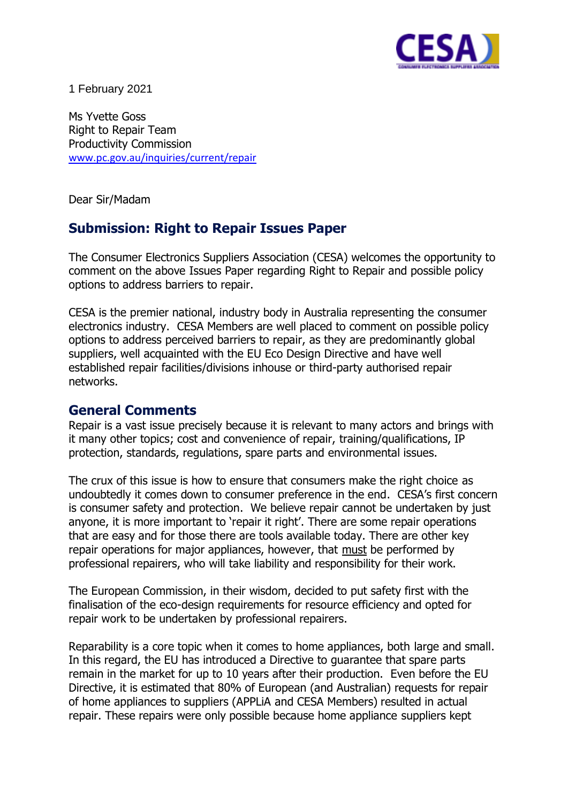

1 February 2021

Ms Yvette Goss Right to Repair Team Productivity Commission [www.pc.gov.au/inquiries/current/repair](http://www.pc.gov.au/inquiries/current/repair)

Dear Sir/Madam

# **Submission: Right to Repair Issues Paper**

The Consumer Electronics Suppliers Association (CESA) welcomes the opportunity to comment on the above Issues Paper regarding Right to Repair and possible policy options to address barriers to repair.

CESA is the premier national, industry body in Australia representing the consumer electronics industry. CESA Members are well placed to comment on possible policy options to address perceived barriers to repair, as they are predominantly global suppliers, well acquainted with the EU Eco Design Directive and have well established repair facilities/divisions inhouse or third-party authorised repair networks.

## **General Comments**

Repair is a vast issue precisely because it is relevant to many actors and brings with it many other topics; cost and convenience of repair, training/qualifications, IP protection, standards, regulations, spare parts and environmental issues.

The crux of this issue is how to ensure that consumers make the right choice as undoubtedly it comes down to consumer preference in the end. CESA's first concern is consumer safety and protection. We believe repair cannot be undertaken by just anyone, it is more important to 'repair it right'. There are some repair operations that are easy and for those there are tools available today. There are other key repair operations for major appliances, however, that must be performed by professional repairers, who will take liability and responsibility for their work.

The European Commission, in their wisdom, decided to put safety first with the finalisation of the eco-design requirements for resource efficiency and opted for repair work to be undertaken by professional repairers.

Reparability is a core topic when it comes to home appliances, both large and small. In this regard, the EU has introduced a Directive to guarantee that spare parts remain in the market for up to 10 years after their production. Even before the EU Directive, it is estimated that 80% of European (and Australian) requests for repair of home appliances to suppliers (APPLiA and CESA Members) resulted in actual repair. These repairs were only possible because home appliance suppliers kept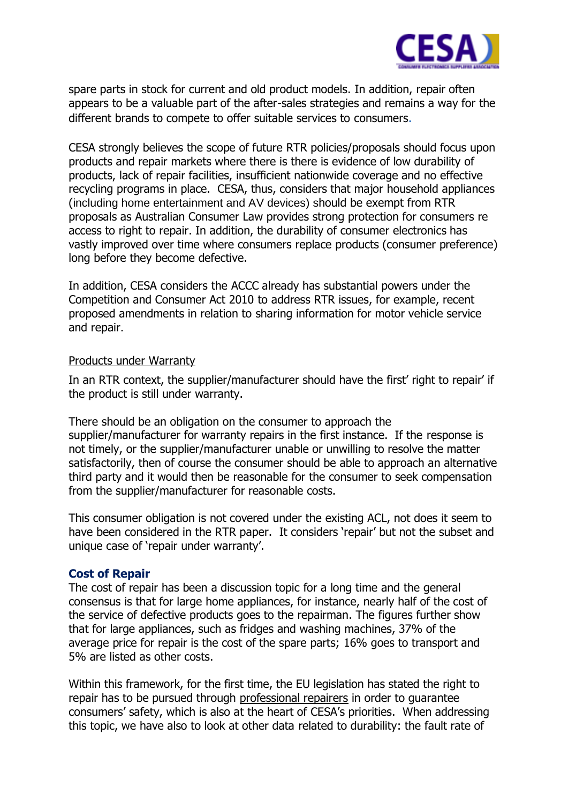

spare parts in stock for current and old product models. In addition, repair often appears to be a valuable part of the after-sales strategies and remains a way for the different brands to compete to offer suitable services to consumers.

CESA strongly believes the scope of future RTR policies/proposals should focus upon products and repair markets where there is there is evidence of low durability of products, lack of repair facilities, insufficient nationwide coverage and no effective recycling programs in place. CESA, thus, considers that major household appliances (including home entertainment and AV devices) should be exempt from RTR proposals as Australian Consumer Law provides strong protection for consumers re access to right to repair. In addition, the durability of consumer electronics has vastly improved over time where consumers replace products (consumer preference) long before they become defective.

In addition, CESA considers the ACCC already has substantial powers under the Competition and Consumer Act 2010 to address RTR issues, for example, recent proposed amendments in relation to sharing information for motor vehicle service and repair.

### Products under Warranty

In an RTR context, the supplier/manufacturer should have the first' right to repair' if the product is still under warranty.

There should be an obligation on the consumer to approach the supplier/manufacturer for warranty repairs in the first instance. If the response is not timely, or the supplier/manufacturer unable or unwilling to resolve the matter satisfactorily, then of course the consumer should be able to approach an alternative third party and it would then be reasonable for the consumer to seek compensation from the supplier/manufacturer for reasonable costs.

This consumer obligation is not covered under the existing ACL, not does it seem to have been considered in the RTR paper. It considers 'repair' but not the subset and unique case of 'repair under warranty'.

## **Cost of Repair**

The cost of repair has been a discussion topic for a long time and the general consensus is that for large home appliances, for instance, nearly half of the cost of the service of defective products goes to the repairman. The figures further show that for large appliances, such as fridges and washing machines, 37% of the average price for repair is the cost of the spare parts; 16% goes to transport and 5% are listed as other costs.

Within this framework, for the first time, the EU legislation has stated the right to repair has to be pursued through professional repairers in order to guarantee consumers' safety, which is also at the heart of CESA's priorities. When addressing this topic, we have also to look at other data related to durability: the fault rate of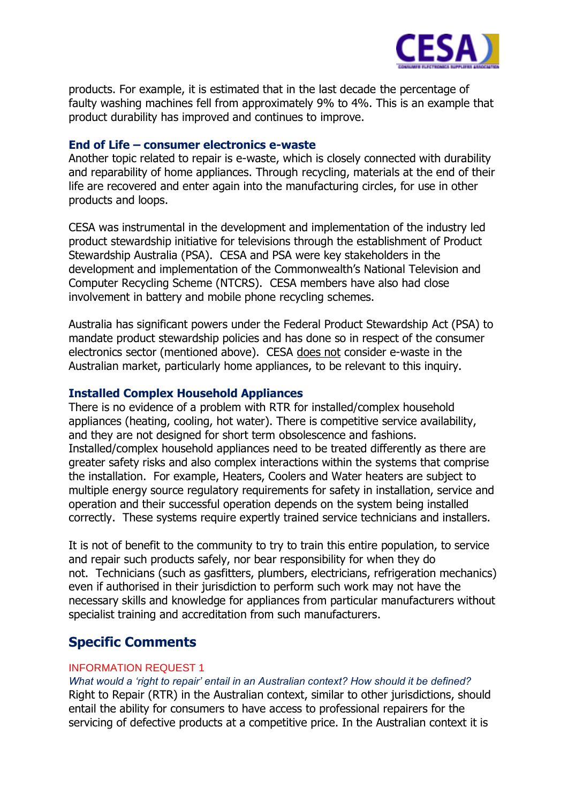

products. For example, it is estimated that in the last decade the percentage of faulty washing machines fell from approximately 9% to 4%. This is an example that product durability has improved and continues to improve.

## **End of Life – consumer electronics e-waste**

Another topic related to repair is e-waste, which is closely connected with durability and reparability of home appliances. Through recycling, materials at the end of their life are recovered and enter again into the manufacturing circles, for use in other products and loops.

CESA was instrumental in the development and implementation of the industry led product stewardship initiative for televisions through the establishment of Product Stewardship Australia (PSA). CESA and PSA were key stakeholders in the development and implementation of the Commonwealth's National Television and Computer Recycling Scheme (NTCRS). CESA members have also had close involvement in battery and mobile phone recycling schemes.

Australia has significant powers under the Federal Product Stewardship Act (PSA) to mandate product stewardship policies and has done so in respect of the consumer electronics sector (mentioned above). CESA does not consider e-waste in the Australian market, particularly home appliances, to be relevant to this inquiry.

## **Installed Complex Household Appliances**

There is no evidence of a problem with RTR for installed/complex household appliances (heating, cooling, hot water). There is competitive service availability, and they are not designed for short term obsolescence and fashions. Installed/complex household appliances need to be treated differently as there are greater safety risks and also complex interactions within the systems that comprise the installation. For example, Heaters, Coolers and Water heaters are subject to multiple energy source regulatory requirements for safety in installation, service and operation and their successful operation depends on the system being installed correctly. These systems require expertly trained service technicians and installers.

It is not of benefit to the community to try to train this entire population, to service and repair such products safely, nor bear responsibility for when they do not. Technicians (such as gasfitters, plumbers, electricians, refrigeration mechanics) even if authorised in their jurisdiction to perform such work may not have the necessary skills and knowledge for appliances from particular manufacturers without specialist training and accreditation from such manufacturers.

## **Specific Comments**

#### INFORMATION REQUEST 1

*What would a 'right to repair' entail in an Australian context? How should it be defined?* Right to Repair (RTR) in the Australian context, similar to other jurisdictions, should entail the ability for consumers to have access to professional repairers for the servicing of defective products at a competitive price. In the Australian context it is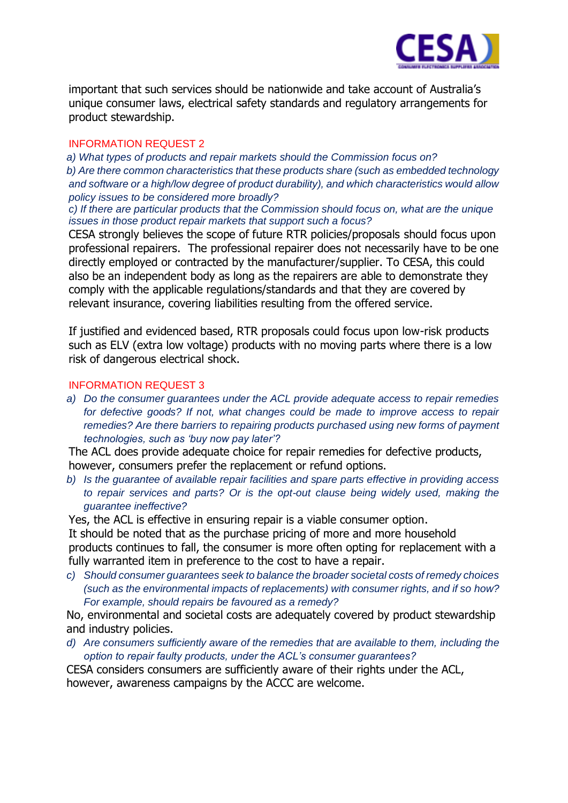

important that such services should be nationwide and take account of Australia's unique consumer laws, electrical safety standards and regulatory arrangements for product stewardship.

#### INFORMATION REQUEST 2

 *a) What types of products and repair markets should the Commission focus on? b) Are there common characteristics that these products share (such as embedded technology and software or a high/low degree of product durability), and which characteristics would allow policy issues to be considered more broadly?*

*c) If there are particular products that the Commission should focus on, what are the unique issues in those product repair markets that support such a focus?*

CESA strongly believes the scope of future RTR policies/proposals should focus upon professional repairers. The professional repairer does not necessarily have to be one directly employed or contracted by the manufacturer/supplier. To CESA, this could also be an independent body as long as the repairers are able to demonstrate they comply with the applicable regulations/standards and that they are covered by relevant insurance, covering liabilities resulting from the offered service.

If justified and evidenced based, RTR proposals could focus upon low-risk products such as ELV (extra low voltage) products with no moving parts where there is a low risk of dangerous electrical shock.

#### INFORMATION REQUEST 3

*a) Do the consumer guarantees under the ACL provide adequate access to repair remedies for defective goods? If not, what changes could be made to improve access to repair remedies? Are there barriers to repairing products purchased using new forms of payment technologies, such as 'buy now pay later'?*

The ACL does provide adequate choice for repair remedies for defective products, however, consumers prefer the replacement or refund options.

*b) Is the guarantee of available repair facilities and spare parts effective in providing access to repair services and parts? Or is the opt-out clause being widely used, making the guarantee ineffective?*

Yes, the ACL is effective in ensuring repair is a viable consumer option.

It should be noted that as the purchase pricing of more and more household products continues to fall, the consumer is more often opting for replacement with a fully warranted item in preference to the cost to have a repair.

*c) Should consumer guarantees seek to balance the broader societal costs of remedy choices (such as the environmental impacts of replacements) with consumer rights, and if so how? For example, should repairs be favoured as a remedy?*

No, environmental and societal costs are adequately covered by product stewardship and industry policies.

*d) Are consumers sufficiently aware of the remedies that are available to them, including the option to repair faulty products, under the ACL's consumer guarantees?*

CESA considers consumers are sufficiently aware of their rights under the ACL, however, awareness campaigns by the ACCC are welcome.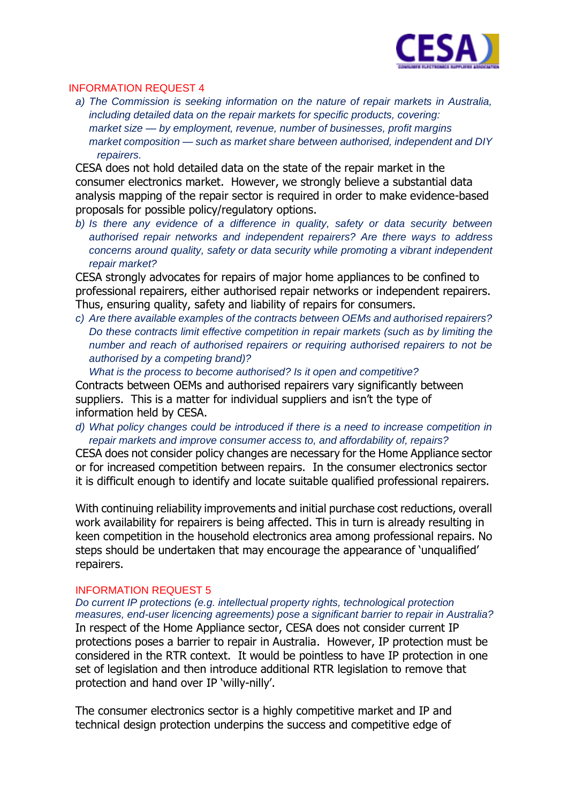

#### INFORMATION REQUEST 4

*a) The Commission is seeking information on the nature of repair markets in Australia, including detailed data on the repair markets for specific products, covering: market size — by employment, revenue, number of businesses, profit margins market composition — such as market share between authorised, independent and DIY repairers.*

CESA does not hold detailed data on the state of the repair market in the consumer electronics market. However, we strongly believe a substantial data analysis mapping of the repair sector is required in order to make evidence-based proposals for possible policy/regulatory options.

*b) Is there any evidence of a difference in quality, safety or data security between authorised repair networks and independent repairers? Are there ways to address concerns around quality, safety or data security while promoting a vibrant independent repair market?*

CESA strongly advocates for repairs of major home appliances to be confined to professional repairers, either authorised repair networks or independent repairers. Thus, ensuring quality, safety and liability of repairs for consumers.

*c) Are there available examples of the contracts between OEMs and authorised repairers? Do these contracts limit effective competition in repair markets (such as by limiting the number and reach of authorised repairers or requiring authorised repairers to not be authorised by a competing brand)?*

*What is the process to become authorised? Is it open and competitive?*  Contracts between OEMs and authorised repairers vary significantly between suppliers. This is a matter for individual suppliers and isn't the type of information held by CESA.

*d) What policy changes could be introduced if there is a need to increase competition in repair markets and improve consumer access to, and affordability of, repairs?*

CESA does not consider policy changes are necessary for the Home Appliance sector or for increased competition between repairs. In the consumer electronics sector it is difficult enough to identify and locate suitable qualified professional repairers.

With continuing reliability improvements and initial purchase cost reductions, overall work availability for repairers is being affected. This in turn is already resulting in keen competition in the household electronics area among professional repairs. No steps should be undertaken that may encourage the appearance of 'unqualified' repairers.

#### INFORMATION REQUEST 5

*Do current IP protections (e.g. intellectual property rights, technological protection measures, end-user licencing agreements) pose a significant barrier to repair in Australia?* In respect of the Home Appliance sector, CESA does not consider current IP protections poses a barrier to repair in Australia. However, IP protection must be considered in the RTR context. It would be pointless to have IP protection in one set of legislation and then introduce additional RTR legislation to remove that protection and hand over IP 'willy-nilly'.

The consumer electronics sector is a highly competitive market and IP and technical design protection underpins the success and competitive edge of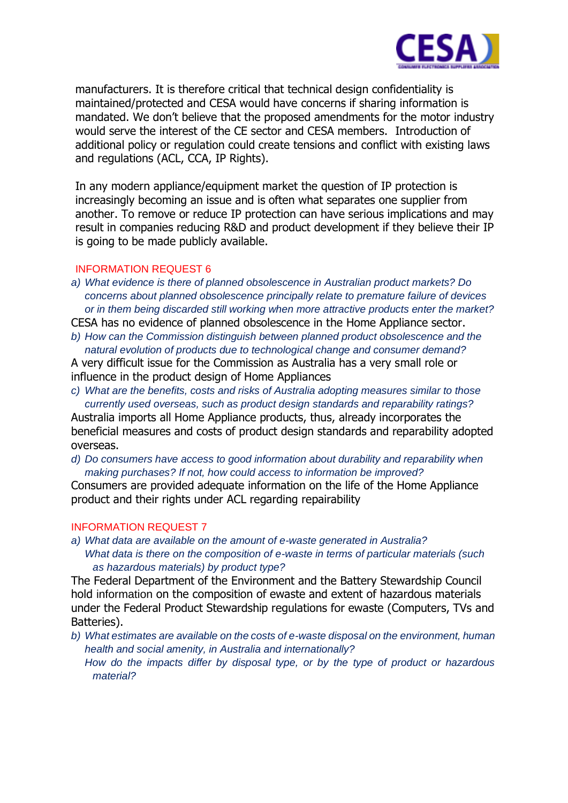

manufacturers. It is therefore critical that technical design confidentiality is maintained/protected and CESA would have concerns if sharing information is mandated. We don't believe that the proposed amendments for the motor industry would serve the interest of the CE sector and CESA members. Introduction of additional policy or regulation could create tensions and conflict with existing laws and regulations (ACL, CCA, IP Rights).

In any modern appliance/equipment market the question of IP protection is increasingly becoming an issue and is often what separates one supplier from another. To remove or reduce IP protection can have serious implications and may result in companies reducing R&D and product development if they believe their IP is going to be made publicly available.

#### INFORMATION REQUEST 6

- *a) What evidence is there of planned obsolescence in Australian product markets? Do concerns about planned obsolescence principally relate to premature failure of devices or in them being discarded still working when more attractive products enter the market?* CESA has no evidence of planned obsolescence in the Home Appliance sector.
- *b) How can the Commission distinguish between planned product obsolescence and the natural evolution of products due to technological change and consumer demand?*

A very difficult issue for the Commission as Australia has a very small role or influence in the product design of Home Appliances

*c) What are the benefits, costs and risks of Australia adopting measures similar to those currently used overseas, such as product design standards and reparability ratings?*

Australia imports all Home Appliance products, thus, already incorporates the beneficial measures and costs of product design standards and reparability adopted overseas.

*d) Do consumers have access to good information about durability and reparability when making purchases? If not, how could access to information be improved?*

Consumers are provided adequate information on the life of the Home Appliance product and their rights under ACL regarding repairability

#### INFORMATION REQUEST 7

*a) What data are available on the amount of e-waste generated in Australia? What data is there on the composition of e-waste in terms of particular materials (such as hazardous materials) by product type?*

The Federal Department of the Environment and the Battery Stewardship Council hold information on the composition of ewaste and extent of hazardous materials under the Federal Product Stewardship regulations for ewaste (Computers, TVs and Batteries).

*b) What estimates are available on the costs of e-waste disposal on the environment, human health and social amenity, in Australia and internationally? How do the impacts differ by disposal type, or by the type of product or hazardous material?*